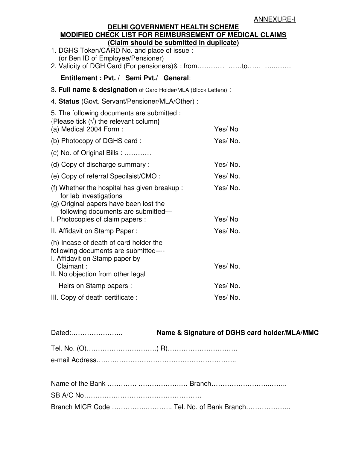## **DELHI GOVERNMENT HEALTH SCHEME MODIFIED CHECK LIST FOR REIMBURSEMENT OF MEDICAL CLAIMS (Claim should be submitted in duplicate)**

| <u>(Claim should be submitted in duplicate)</u><br>1. DGHS Token/CARD No. and place of issue:<br>(or Ben ID of Employee/Pensioner)                                                        |                   |  |  |  |  |
|-------------------------------------------------------------------------------------------------------------------------------------------------------------------------------------------|-------------------|--|--|--|--|
| Entitlement: Pvt. / Semi Pvt./ General:                                                                                                                                                   |                   |  |  |  |  |
| 3. Full name & designation of Card Holder/MLA (Block Letters):                                                                                                                            |                   |  |  |  |  |
| 4. Status (Govt. Servant/Pensioner/MLA/Other) :                                                                                                                                           |                   |  |  |  |  |
| 5. The following documents are submitted :<br>{Please tick $(\sqrt{})$ the relevant column}<br>(a) Medical 2004 Form:                                                                     | Yes/No            |  |  |  |  |
| (b) Photocopy of DGHS card:                                                                                                                                                               | Yes/No.           |  |  |  |  |
| $(c)$ No. of Original Bills :                                                                                                                                                             |                   |  |  |  |  |
| (d) Copy of discharge summary:                                                                                                                                                            | Yes/No.           |  |  |  |  |
| (e) Copy of referral Specilaist/CMO:                                                                                                                                                      | Yes/No.           |  |  |  |  |
| (f) Whether the hospital has given breakup:<br>for lab investigations<br>(g) Original papers have been lost the<br>following documents are submitted-<br>I. Photocopies of claim papers : | Yes/No.<br>Yes/No |  |  |  |  |
| II. Affidavit on Stamp Paper:                                                                                                                                                             | Yes/No.           |  |  |  |  |
| (h) Incase of death of card holder the<br>following documents are submitted----<br>I. Affidavit on Stamp paper by<br>Claimant:<br>II. No objection from other legal                       | Yes/No.           |  |  |  |  |
| Heirs on Stamp papers :                                                                                                                                                                   | Yes/No.           |  |  |  |  |
| III. Copy of death certificate :                                                                                                                                                          | Yes/No.           |  |  |  |  |

|--|

| Branch MICR Code  Tel. No. of Bank Branch |  |
|-------------------------------------------|--|